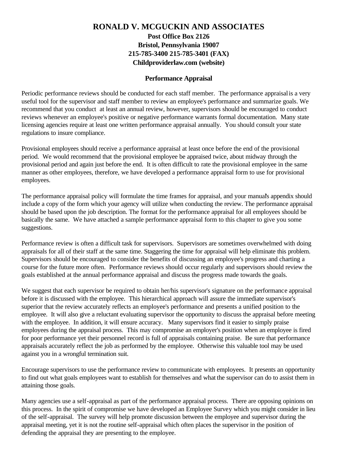## **RONALD V. MCGUCKIN AND ASSOCIATES Post Office Box 2126 Bristol, Pennsylvania 19007 215-785-3400 215-785-3401 (FAX) Childproviderlaw.com (website)**

### **Performance Appraisal**

Periodic performance reviews should be conducted for each staff member. The performance appraisal is a very useful tool for the supervisor and staff member to review an employee's performance and summarize goals. We recommend that you conduct at least an annual review, however, supervisors should be encouraged to conduct reviews whenever an employee's positive or negative performance warrants formal documentation. Many state licensing agencies require at least one written performance appraisal annually. You should consult your state regulations to insure compliance.

Provisional employees should receive a performance appraisal at least once before the end of the provisional period. We would recommend that the provisional employee be appraised twice, about midway through the provisional period and again just before the end. It is often difficult to rate the provisional employee in the same manner as other employees, therefore, we have developed a performance appraisal form to use for provisional employees.

The performance appraisal policy will formulate the time frames for appraisal, and your manual's appendix should include a copy of the form which your agency will utilize when conducting the review. The performance appraisal should be based upon the job description. The format for the performance appraisal for all employees should be basically the same. We have attached a sample performance appraisal form to this chapter to give you some suggestions.

Performance review is often a difficult task for supervisors. Supervisors are sometimes overwhelmed with doing appraisals for all of their staff at the same time. Staggering the time for appraisal will help eliminate this problem. Supervisors should be encouraged to consider the benefits of discussing an employee's progress and charting a course for the future more often. Performance reviews should occur regularly and supervisors should review the goals established at the annual performance appraisal and discuss the progress made towards the goals.

We suggest that each supervisor be required to obtain her/his supervisor's signature on the performance appraisal before it is discussed with the employee. This hierarchical approach will assure the immediate supervisor's superior that the review accurately reflects an employee's performance and presents a unified position to the employee. It will also give a reluctant evaluating supervisor the opportunity to discuss the appraisal before meeting with the employee. In addition, it will ensure accuracy. Many supervisors find it easier to simply praise employees during the appraisal process. This may compromise an employer's position when an employee is fired for poor performance yet their personnel record is full of appraisals containing praise. Be sure that performance appraisals accurately reflect the job as performed by the employee. Otherwise this valuable tool may be used against you in a wrongful termination suit.

Encourage supervisors to use the performance review to communicate with employees. It presents an opportunity to find out what goals employees want to establish for themselves and what the supervisor can do to assist them in attaining those goals.

Many agencies use a self-appraisal as part of the performance appraisal process. There are opposing opinions on this process. In the spirit of compromise we have developed an Employee Survey which you might consider in lieu of the self-appraisal. The survey will help promote discussion between the employee and supervisor during the appraisal meeting, yet it is not the routine self-appraisal which often places the supervisor in the position of defending the appraisal they are presenting to the employee.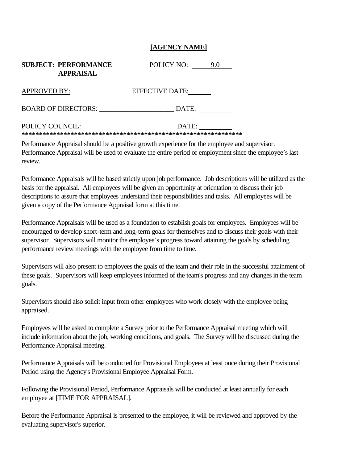### **[AGENCY NAME]**

| <b>SUBJECT: PERFORMANCE</b><br><b>APPRAISAL</b> | POLICY NO:<br>9.0      |
|-------------------------------------------------|------------------------|
| <b>APPROVED BY:</b>                             | <b>EFFECTIVE DATE:</b> |
| <b>BOARD OF DIRECTORS:</b>                      | DATE:                  |
| POLICY COUNCIL:                                 | DATE:                  |

Performance Appraisal should be a positive growth experience for the employee and supervisor. Performance Appraisal will be used to evaluate the entire period of employment since the employee's last review.

Performance Appraisals will be based strictly upon job performance. Job descriptions will be utilized as the basis for the appraisal. All employees will be given an opportunity at orientation to discuss their job descriptions to assure that employees understand their responsibilities and tasks. All employees will be given a copy of the Performance Appraisal form at this time.

Performance Appraisals will be used as a foundation to establish goals for employees. Employees will be encouraged to develop short-term and long-term goals for themselves and to discuss their goals with their supervisor. Supervisors will monitor the employee's progress toward attaining the goals by scheduling performance review meetings with the employee from time to time.

Supervisors will also present to employees the goals of the team and their role in the successful attainment of these goals. Supervisors will keep employees informed of the team's progress and any changes in the team goals.

Supervisors should also solicit input from other employees who work closely with the employee being appraised.

Employees will be asked to complete a Survey prior to the Performance Appraisal meeting which will include information about the job, working conditions, and goals. The Survey will be discussed during the Performance Appraisal meeting.

Performance Appraisals will be conducted for Provisional Employees at least once during their Provisional Period using the Agency's Provisional Employee Appraisal Form.

Following the Provisional Period, Performance Appraisals will be conducted at least annually for each employee at [TIME FOR APPRAISAL].

Before the Performance Appraisal is presented to the employee, it will be reviewed and approved by the evaluating supervisor's superior.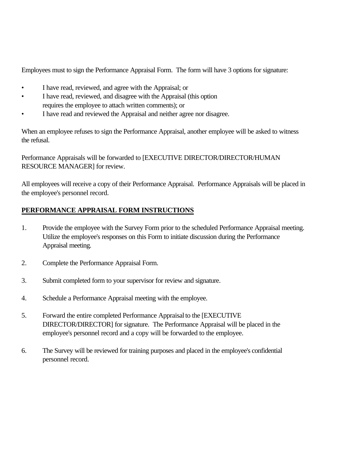Employees must to sign the Performance Appraisal Form. The form will have 3 options for signature:

- I have read, reviewed, and agree with the Appraisal; or
- I have read, reviewed, and disagree with the Appraisal (this option requires the employee to attach written comments); or
- I have read and reviewed the Appraisal and neither agree nor disagree.

When an employee refuses to sign the Performance Appraisal, another employee will be asked to witness the refusal.

Performance Appraisals will be forwarded to [EXECUTIVE DIRECTOR/DIRECTOR/HUMAN RESOURCE MANAGER] for review.

All employees will receive a copy of their Performance Appraisal. Performance Appraisals will be placed in the employee's personnel record.

# **PERFORMANCE APPRAISAL FORM INSTRUCTIONS**

- 1. Provide the employee with the Survey Form prior to the scheduled Performance Appraisal meeting. Utilize the employee's responses on this Form to initiate discussion during the Performance Appraisal meeting.
- 2. Complete the Performance Appraisal Form.
- 3. Submit completed form to your supervisor for review and signature.
- 4. Schedule a Performance Appraisal meeting with the employee.
- 5. Forward the entire completed Performance Appraisal to the [EXECUTIVE DIRECTOR/DIRECTOR] for signature. The Performance Appraisal will be placed in the employee's personnel record and a copy will be forwarded to the employee.
- 6. The Survey will be reviewed for training purposes and placed in the employee's confidential personnel record.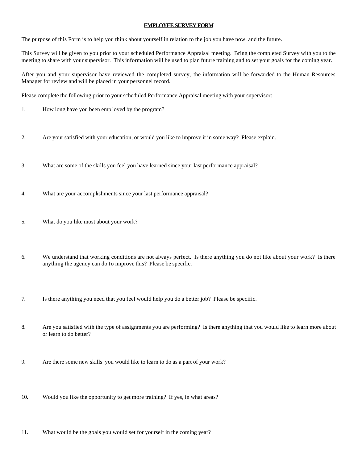#### **EMPLOYEE SURVEY FORM**

The purpose of this Form is to help you think about yourself in relation to the job you have now, and the future.

This Survey will be given to you prior to your scheduled Performance Appraisal meeting. Bring the completed Survey with you to the meeting to share with your supervisor. This information will be used to plan future training and to set your goals for the coming year.

After you and your supervisor have reviewed the completed survey, the information will be forwarded to the Human Resources Manager for review and will be placed in your personnel record.

Please complete the following prior to your scheduled Performance Appraisal meeting with your supervisor:

- 1. How long have you been emp loyed by the program?
- 2. Are your satisfied with your education, or would you like to improve it in some way? Please explain.
- 3. What are some of the skills you feel you have learned since your last performance appraisal?
- 4. What are your accomplishments since your last performance appraisal?
- 5. What do you like most about your work?
- 6. We understand that working conditions are not always perfect. Is there anything you do not like about your work? Is there anything the agency can do to improve this? Please be specific.
- 7. Is there anything you need that you feel would help you do a better job? Please be specific.
- 8. Are you satisfied with the type of assignments you are performing? Is there anything that you would like to learn more about or learn to do better?
- 9. Are there some new skills you would like to learn to do as a part of your work?
- 10. Would you like the opportunity to get more training? If yes, in what areas?
- 11. What would be the goals you would set for yourself in the coming year?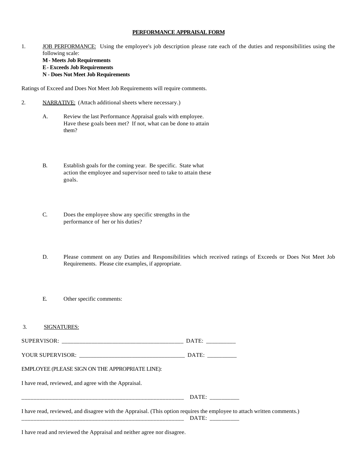#### **PERFORMANCE APPRAISAL FORM**

1. **JOB PERFORMANCE:** Using the employee's job description please rate each of the duties and responsibilities using the following scale: **M - Meets Job Requirements E - Exceeds Job Requirements N - Does Not Meet Job Requirements**

Ratings of Exceed and Does Not Meet Job Requirements will require comments.

- 2. NARRATIVE: (Attach additional sheets where necessary.)
	- A. Review the last Performance Appraisal goals with employee. Have these goals been met? If not, what can be done to attain them?
	- B. Establish goals for the coming year. Be specific. State what action the employee and supervisor need to take to attain these goals.
	- C. Does the employee show any specific strengths in the performance of her or his duties?
	- D. Please comment on any Duties and Responsibilities which received ratings of Exceeds or Does Not Meet Job Requirements. Please cite examples, if appropriate.
	- E. Other specific comments:

| 3.<br>SIGNATURES:                                                                                                       |  |
|-------------------------------------------------------------------------------------------------------------------------|--|
|                                                                                                                         |  |
|                                                                                                                         |  |
| EMPLOYEE (PLEASE SIGN ON THE APPROPRIATE LINE):                                                                         |  |
| I have read, reviewed, and agree with the Appraisal.                                                                    |  |
|                                                                                                                         |  |
| I have read, reviewed, and disagree with the Appraisal. (This option requires the employee to attach written comments.) |  |
| I have read and reviewed the Appraisal and neither agree nor disagree.                                                  |  |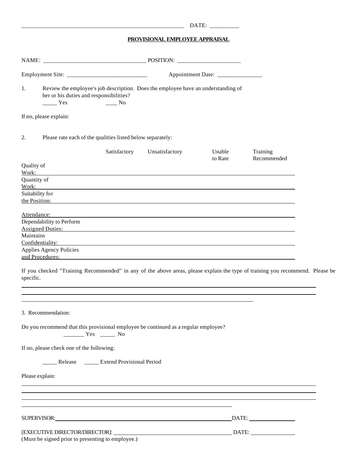|                                    |                                                                                                                                                                                          |  |                | DATE: ___________ |                         |  |
|------------------------------------|------------------------------------------------------------------------------------------------------------------------------------------------------------------------------------------|--|----------------|-------------------|-------------------------|--|
|                                    | PROVISIONAL EMPLOYEE APPRAISAL                                                                                                                                                           |  |                |                   |                         |  |
|                                    |                                                                                                                                                                                          |  |                |                   |                         |  |
| Appointment Date: ________________ |                                                                                                                                                                                          |  |                |                   |                         |  |
| 1.                                 | Review the employee's job description. Does the employee have an understanding of<br>her or his duties and responsibilities?<br>$\frac{1}{1}$ Yes<br>$\frac{1}{\sqrt{1-\frac{1}{2}}}$ No |  |                |                   |                         |  |
|                                    | If no, please explain:                                                                                                                                                                   |  |                |                   |                         |  |
| 2.                                 | Please rate each of the qualities listed below separately:                                                                                                                               |  |                |                   |                         |  |
|                                    | Satisfactory                                                                                                                                                                             |  | Unsatisfactory | Unable<br>to Rate | Training<br>Recommended |  |
| Quality of<br>Work:                |                                                                                                                                                                                          |  |                |                   |                         |  |
| Quantity of                        |                                                                                                                                                                                          |  |                |                   |                         |  |
| Work:<br>Suitability for           | ,我们也不会有一个人的人,我们也不会有一个人的人,我们也不会有一个人的人。""我们,我们也不会有一个人的人,我们也不会有一个人的人,我们也不会有一个人的人,我们                                                                                                         |  |                |                   |                         |  |
|                                    | the Position:                                                                                                                                                                            |  |                |                   |                         |  |
|                                    |                                                                                                                                                                                          |  |                |                   |                         |  |
| Attendance:                        | 的,我们也不会有什么。""我们的人,我们也不会有什么?""我们的人,我们也不会有什么?""我们的人,我们也不会有什么?""我们的人,我们也不会有什么?""我们的<br>Dependability to Perform                                                                             |  |                |                   |                         |  |
|                                    | Assigned Duties: Assigned Duties:                                                                                                                                                        |  |                |                   |                         |  |
| Maintains                          |                                                                                                                                                                                          |  |                |                   |                         |  |
|                                    | Confidentiality:                                                                                                                                                                         |  |                |                   |                         |  |
|                                    | Applies Agency Policies                                                                                                                                                                  |  |                |                   |                         |  |
|                                    |                                                                                                                                                                                          |  |                |                   |                         |  |
| specific.                          | If you checked "Training Recommended" in any of the above areas, please explain the type of training you recommend. Please be                                                            |  |                |                   |                         |  |
|                                    |                                                                                                                                                                                          |  |                |                   |                         |  |
|                                    | 3. Recommendation:                                                                                                                                                                       |  |                |                   |                         |  |
|                                    | Do you recommend that this provisional employee be continued as a regular employee?<br>$\frac{1}{1}$ Yes $\frac{1}{1}$ No                                                                |  |                |                   |                         |  |
|                                    | If no, please check one of the following:                                                                                                                                                |  |                |                   |                         |  |
|                                    | Release _______ Extend Provisional Period                                                                                                                                                |  |                |                   |                         |  |
| Please explain:                    | ,我们也不会有什么。""我们的人,我们也不会有什么?""我们的人,我们也不会有什么?""我们的人,我们也不会有什么?""我们的人,我们也不会有什么?""我们的人                                                                                                         |  |                |                   |                         |  |
|                                    | ,我们也不会有什么?""我们的人,我们也不会有什么?""我们的人,我们也不会有什么?""我们的人,我们也不会有什么?""我们的人,我们也不会有什么?""我们的人<br>,我们也不会有什么。""我们的人,我们也不会有什么?""我们的人,我们也不会有什么?""我们的人,我们也不会有什么?""我们的人,我们也不会有什么?""我们的人                     |  |                |                   |                         |  |
|                                    | ,我们也不会有什么。""我们的人,我们也不会有什么?""我们的人,我们也不会有什么?""我们的人,我们也不会有什么?""我们的人,我们也不会有什么?""我们的人                                                                                                         |  |                |                   |                         |  |
|                                    |                                                                                                                                                                                          |  |                |                   |                         |  |
|                                    | (Must be signed prior to presenting to employee.)                                                                                                                                        |  |                |                   |                         |  |